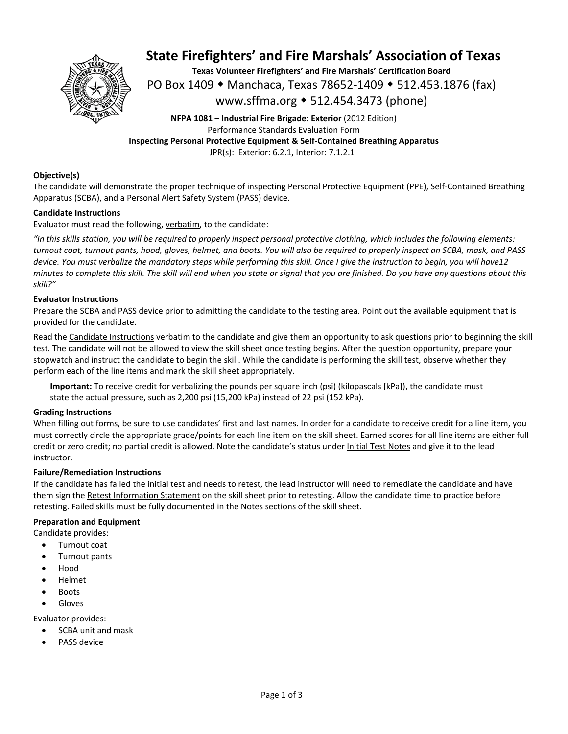

# **State Firefighters' and Fire Marshals' Association of Texas**

**Texas Volunteer Firefighters' and Fire Marshals' Certification Board**  PO Box 1409 ◆ Manchaca, Texas 78652-1409 ◆ 512.453.1876 (fax) www.sffma.org 512.454.3473 (phone)

**NFPA 1081 – Industrial Fire Brigade: Exterior** (2012 Edition) Performance Standards Evaluation Form **Inspecting Personal Protective Equipment & Self‐Contained Breathing Apparatus**  JPR(s): Exterior: 6.2.1, Interior: 7.1.2.1

#### **Objective(s)**

The candidate will demonstrate the proper technique of inspecting Personal Protective Equipment (PPE), Self‐Contained Breathing Apparatus (SCBA), and a Personal Alert Safety System (PASS) device.

#### **Candidate Instructions**

Evaluator must read the following, verbatim, to the candidate:

*"In this skills station, you will be required to properly inspect personal protective clothing, which includes the following elements: turnout coat, turnout pants, hood, gloves, helmet, and boots. You will also be required to properly inspect an SCBA, mask, and PASS device. You must verbalize the mandatory steps while performing this skill. Once I give the instruction to begin, you will have12 minutes to complete this skill. The skill will end when you state or signal that you are finished. Do you have any questions about this skill?"* 

#### **Evaluator Instructions**

Prepare the SCBA and PASS device prior to admitting the candidate to the testing area. Point out the available equipment that is provided for the candidate.

Read the Candidate Instructions verbatim to the candidate and give them an opportunity to ask questions prior to beginning the skill test. The candidate will not be allowed to view the skill sheet once testing begins. After the question opportunity, prepare your stopwatch and instruct the candidate to begin the skill. While the candidate is performing the skill test, observe whether they perform each of the line items and mark the skill sheet appropriately.

**Important:** To receive credit for verbalizing the pounds per square inch (psi) (kilopascals [kPa]), the candidate must state the actual pressure, such as 2,200 psi (15,200 kPa) instead of 22 psi (152 kPa).

#### **Grading Instructions**

When filling out forms, be sure to use candidates' first and last names. In order for a candidate to receive credit for a line item, you must correctly circle the appropriate grade/points for each line item on the skill sheet. Earned scores for all line items are either full credit or zero credit; no partial credit is allowed. Note the candidate's status under Initial Test Notes and give it to the lead instructor.

#### **Failure/Remediation Instructions**

If the candidate has failed the initial test and needs to retest, the lead instructor will need to remediate the candidate and have them sign the Retest Information Statement on the skill sheet prior to retesting. Allow the candidate time to practice before retesting. Failed skills must be fully documented in the Notes sections of the skill sheet.

#### **Preparation and Equipment**

Candidate provides:

- Turnout coat Turnout pants
- Hood
- Helmet
- Boots
- Gloves
- 

Evaluator provides:

- SCBA unit and mask
- PASS device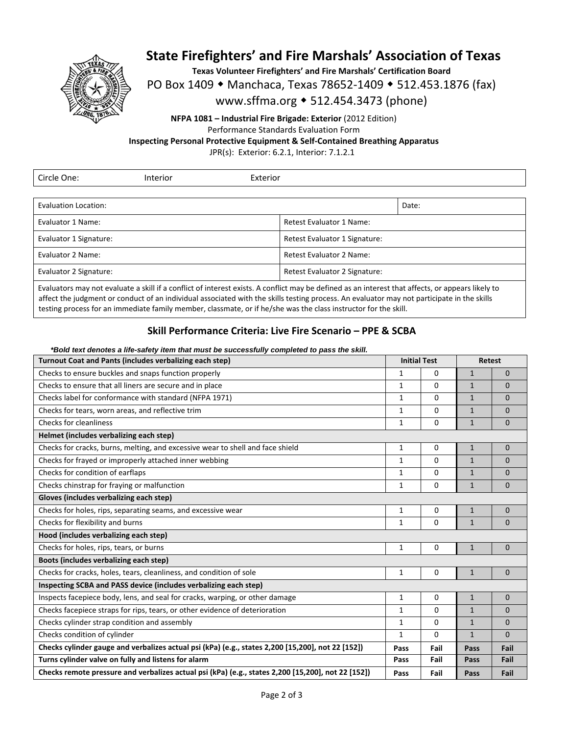

### **State Firefighters' and Fire Marshals' Association of Texas**

**Texas Volunteer Firefighters' and Fire Marshals' Certification Board** 

PO Box 1409 • Manchaca, Texas 78652-1409 • 512.453.1876 (fax)

### www.sffma.org 512.454.3473 (phone)

**NFPA 1081 – Industrial Fire Brigade: Exterior** (2012 Edition) Performance Standards Evaluation Form **Inspecting Personal Protective Equipment & Self‐Contained Breathing Apparatus** 

JPR(s): Exterior: 6.2.1, Interior: 7.1.2.1

| Circle One:                                                                                                                                       | Interior | Exterior                      |                                 |  |  |
|---------------------------------------------------------------------------------------------------------------------------------------------------|----------|-------------------------------|---------------------------------|--|--|
|                                                                                                                                                   |          |                               |                                 |  |  |
| Evaluation Location:                                                                                                                              |          |                               | Date:                           |  |  |
| Evaluator 1 Name:                                                                                                                                 |          |                               | <b>Retest Evaluator 1 Name:</b> |  |  |
| Evaluator 1 Signature:                                                                                                                            |          | Retest Evaluator 1 Signature: |                                 |  |  |
| Evaluator 2 Name:                                                                                                                                 |          |                               | Retest Evaluator 2 Name:        |  |  |
| Evaluator 2 Signature:                                                                                                                            |          |                               | Retest Evaluator 2 Signature:   |  |  |
| Evaluators may not ovaluate a skill if a sonflict of interest oviets. A sonflict may be defined as an interest that affects, or annoars likely to |          |                               |                                 |  |  |

Evaluators may not evaluate a skill if a conflict of interest exists. A conflict may be defined as an interest that affects, or appears likely to affect the judgment or conduct of an individual associated with the skills testing process. An evaluator may not participate in the skills testing process for an immediate family member, classmate, or if he/she was the class instructor for the skill.

### **Skill Performance Criteria: Live Fire Scenario – PPE & SCBA**

#### *\*Bold text denotes a life-safety item that must be successfully completed to pass the skill.*

| Turnout Coat and Pants (includes verbalizing each step)                                            |              | <b>Initial Test</b> |              | <b>Retest</b> |  |
|----------------------------------------------------------------------------------------------------|--------------|---------------------|--------------|---------------|--|
| Checks to ensure buckles and snaps function properly                                               |              | 0                   | $\mathbf{1}$ | $\Omega$      |  |
| Checks to ensure that all liners are secure and in place                                           |              | $\Omega$            | $\mathbf{1}$ | $\Omega$      |  |
| Checks label for conformance with standard (NFPA 1971)                                             |              | $\Omega$            | $\mathbf{1}$ | $\mathbf 0$   |  |
| Checks for tears, worn areas, and reflective trim                                                  |              | 0                   | $\mathbf{1}$ | $\Omega$      |  |
| Checks for cleanliness                                                                             |              | 0                   | $\mathbf{1}$ | $\Omega$      |  |
| Helmet (includes verbalizing each step)                                                            |              |                     |              |               |  |
| Checks for cracks, burns, melting, and excessive wear to shell and face shield                     |              | 0                   | $\mathbf{1}$ | $\mathbf 0$   |  |
| Checks for frayed or improperly attached inner webbing                                             |              | $\Omega$            | $\mathbf{1}$ | $\mathbf 0$   |  |
| Checks for condition of earflaps                                                                   |              | 0                   | $\mathbf{1}$ | $\Omega$      |  |
| Checks chinstrap for fraying or malfunction                                                        |              | 0                   | $\mathbf{1}$ | $\mathbf 0$   |  |
| Gloves (includes verbalizing each step)                                                            |              |                     |              |               |  |
| Checks for holes, rips, separating seams, and excessive wear                                       |              | 0                   | $\mathbf{1}$ | $\mathbf 0$   |  |
| Checks for flexibility and burns                                                                   | $\mathbf{1}$ | $\Omega$            | $\mathbf{1}$ | $\Omega$      |  |
| Hood (includes verbalizing each step)                                                              |              |                     |              |               |  |
| Checks for holes, rips, tears, or burns                                                            | 1            | 0                   | $\mathbf{1}$ | $\mathbf 0$   |  |
| Boots (includes verbalizing each step)                                                             |              |                     |              |               |  |
| Checks for cracks, holes, tears, cleanliness, and condition of sole                                | $\mathbf{1}$ | 0                   | $\mathbf{1}$ | $\Omega$      |  |
| Inspecting SCBA and PASS device (includes verbalizing each step)                                   |              |                     |              |               |  |
| Inspects facepiece body, lens, and seal for cracks, warping, or other damage                       |              | 0                   | $\mathbf{1}$ | $\Omega$      |  |
| Checks facepiece straps for rips, tears, or other evidence of deterioration                        |              | $\Omega$            | $\mathbf{1}$ | $\Omega$      |  |
| Checks cylinder strap condition and assembly                                                       |              | $\Omega$            | $\mathbf{1}$ | $\Omega$      |  |
| Checks condition of cylinder                                                                       |              | $\Omega$            | $\mathbf{1}$ | $\Omega$      |  |
| Checks cylinder gauge and verbalizes actual psi (kPa) (e.g., states 2,200 [15,200], not 22 [152])  |              | Fail                | Pass         | Fail          |  |
| Turns cylinder valve on fully and listens for alarm                                                |              | Fail                | Pass         | Fail          |  |
| Checks remote pressure and verbalizes actual psi (kPa) (e.g., states 2,200 [15,200], not 22 [152]) |              | Fail                | Pass         | Fail          |  |